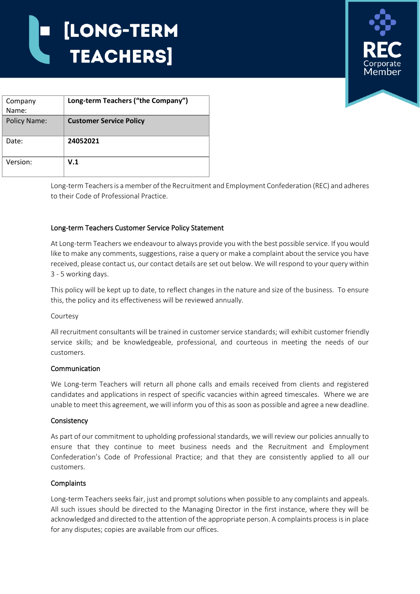# [LONG-TERM **TEACHERS**



| Company             | Long-term Teachers ("the Company") |
|---------------------|------------------------------------|
| Name:               |                                    |
| <b>Policy Name:</b> | <b>Customer Service Policy</b>     |
| Date:               | 24052021                           |
| Version:            | V.1                                |

Long-term Teachers is a member of the Recruitment and Employment Confederation (REC) and adheres to their Code of Professional Practice.

# Long-term Teachers Customer Service Policy Statement

At Long-term Teachers we endeavour to always provide you with the best possible service. If you would like to make any comments, suggestions, raise a query or make a complaint about the service you have received, please contact us, our contact details are set out below. We will respond to your query within 3 - 5 working days.

This policy will be kept up to date, to reflect changes in the nature and size of the business. To ensure this, the policy and its effectiveness will be reviewed annually.

#### Courtesy

All recruitment consultants will be trained in customer service standards; will exhibit customer friendly service skills; and be knowledgeable, professional, and courteous in meeting the needs of our customers.

#### Communication

We Long-term Teachers will return all phone calls and emails received from clients and registered candidates and applications in respect of specific vacancies within agreed timescales. Where we are unable to meet this agreement, we will inform you of this as soon as possible and agree a new deadline.

#### **Consistency**

As part of our commitment to upholding professional standards, we will review our policies annually to ensure that they continue to meet business needs and the Recruitment and Employment Confederation's Code of Professional Practice; and that they are consistently applied to all our customers.

#### **Complaints**

Long-term Teachers seeks fair, just and prompt solutions when possible to any complaints and appeals. All such issues should be directed to the Managing Director in the first instance, where they will be acknowledged and directed to the attention of the appropriate person. A complaints process is in place for any disputes; copies are available from our offices.